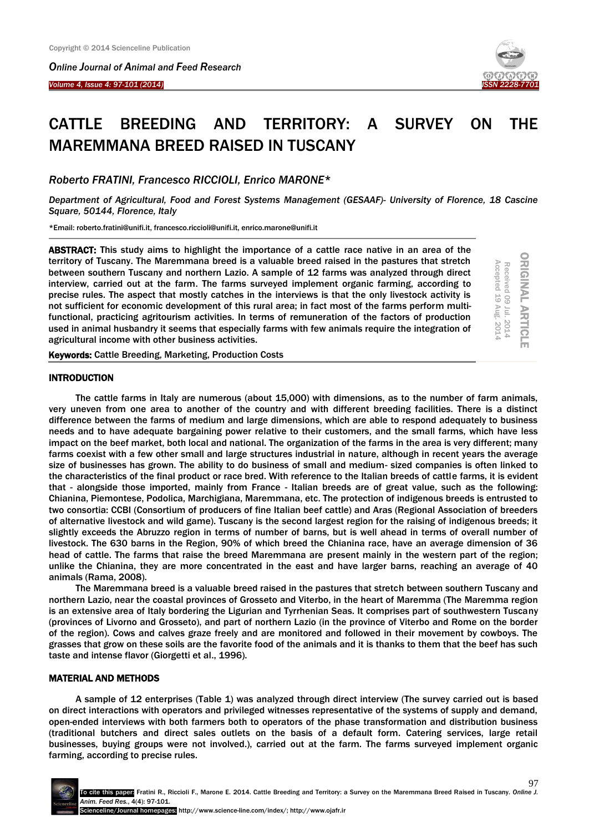*Online Journal of Animal and Feed Research* 

## *Volume 4, Issue 4: 97-101 (2014)*

Ξ



ORIGINAL ARTICLE Received 09 Jul. 2014 Accepted 19 Aug. 2014

**ORIGINAL ARTICI** 

Received 09 Jul. 2014<br>Accepted 19 Aug. 2014

# CATTLE BREEDING AND TERRITORY: A SURVEY ON THE MAREMMANA BREED RAISED IN TUSCANY

*Roberto FRATINI, Francesco RICCIOLI, Enrico MARONE*\*

*Department of Agricultural, Food and Forest Systems Management (GESAAF)- University of Florence, 18 Cascine Square, 50144, Florence, Italy*

\*Email: roberto.fratini@unifi.it, francesco.riccioli@unifi.it, enrico.marone@unifi.it

ABSTRACT: This study aims to highlight the importance of a cattle race native in an area of the territory of Tuscany. The Maremmana breed is a valuable breed raised in the pastures that stretch between southern Tuscany and northern Lazio. A sample of 12 farms was analyzed through direct interview, carried out at the farm. The farms surveyed implement organic farming, according to precise rules. The aspect that mostly catches in the interviews is that the only livestock activity is not sufficient for economic development of this rural area; in fact most of the farms perform multifunctional, practicing agritourism activities. In terms of remuneration of the factors of production used in animal husbandry it seems that especially farms with few animals require the integration of agricultural income with other business activities.

Keywords: Cattle Breeding, Marketing, Production Costs

#### **INTRODUCTION**

The cattle farms in Italy are numerous (about 15,000) with dimensions, as to the number of farm animals, very uneven from one area to another of the country and with different breeding facilities. There is a distinct difference between the farms of medium and large dimensions, which are able to respond adequately to business needs and to have adequate bargaining power relative to their customers, and the small farms, which have less impact on the beef market, both local and national. The organization of the farms in the area is very different; many farms coexist with a few other small and large structures industrial in nature, although in recent years the average size of businesses has grown. The ability to do business of small and medium- sized companies is often linked to the characteristics of the final product or race bred. With reference to the Italian breeds of cattle farms, it is evident that - alongside those imported, mainly from France - Italian breeds are of great value, such as the following: Chianina, Piemontese, Podolica, Marchigiana, Maremmana, etc. The protection of indigenous breeds is entrusted to two consortia: CCBI (Consortium of producers of fine Italian beef cattle) and Aras (Regional Association of breeders of alternative livestock and wild game). Tuscany is the second largest region for the raising of indigenous breeds; it slightly exceeds the Abruzzo region in terms of number of barns, but is well ahead in terms of overall number of livestock. The 630 barns in the Region, 90% of which breed the Chianina race, have an average dimension of 36 head of cattle. The farms that raise the breed Maremmana are present mainly in the western part of the region; unlike the Chianina, they are more concentrated in the east and have larger barns, reaching an average of 40 animals (Rama, 2008).

The Maremmana breed is a valuable breed raised in the pastures that stretch between southern Tuscany and northern Lazio, near the coastal provinces of Grosseto and Viterbo, in the heart of Maremma (The Maremma region is an extensive area of Italy bordering the Ligurian and Tyrrhenian Seas. It comprises part of southwestern Tuscany (provinces of Livorno and Grosseto), and part of northern Lazio (in the province of Viterbo and Rome on the border of the region). Cows and calves graze freely and are monitored and followed in their movement by cowboys. The grasses that grow on these soils are the favorite food of the animals and it is thanks to them that the beef has such taste and intense flavor (Giorgetti et al., 1996).

## MATERIAL AND METHODS

A sample of 12 enterprises (Table 1) was analyzed through direct interview (The survey carried out is based on direct interactions with operators and privileged witnesses representative of the systems of supply and demand, open-ended interviews with both farmers both to operators of the phase transformation and distribution business (traditional butchers and direct sales outlets on the basis of a default form. Catering services, large retail businesses, buying groups were not involved.), carried out at the farm. The farms surveyed implement organic farming, according to precise rules.

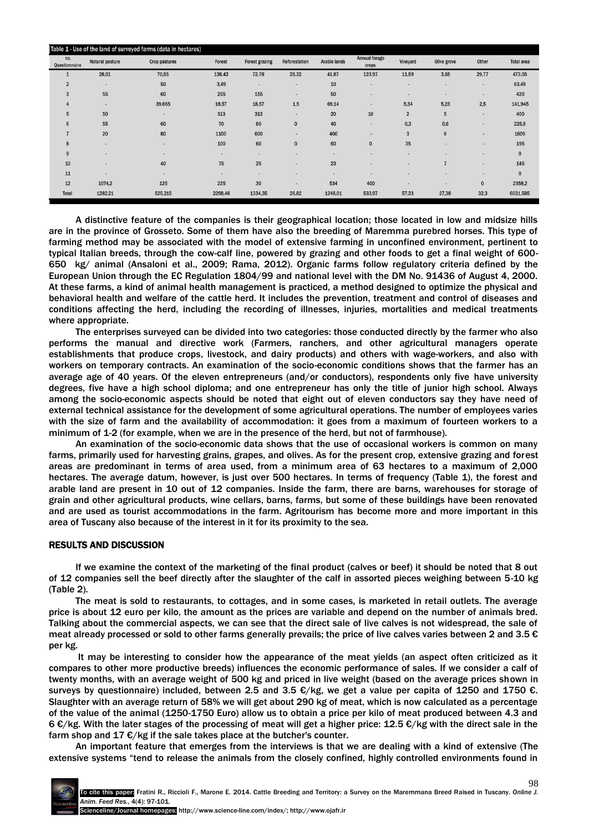| Table 1 - Use of the land of surveyed farms (data in hectares) |                 |               |                          |                          |                          |              |                        |                |             |                          |                   |
|----------------------------------------------------------------|-----------------|---------------|--------------------------|--------------------------|--------------------------|--------------|------------------------|----------------|-------------|--------------------------|-------------------|
| no.<br>Questionnaire                                           | Natural pasture | Crop pastures | Forest                   | <b>Forest grazing</b>    | Reforestation            | Arable lands | Annual forage<br>crops | Vineyard       | Olive grove | Other                    | <b>Total area</b> |
|                                                                | 28,01           | 70,55         | 138,42                   | 72,78                    | 25,32                    | 41,87        | 123,97                 | 11,59          | 3,55        | 29,77                    | 473,05            |
| $\overline{2}$                                                 | $\sim$          | 50            | 3,49                     | $\overline{\phantom{a}}$ | $\overline{\phantom{a}}$ | $10\,$       | ۰                      |                |             | $\overline{\phantom{a}}$ | 63,49             |
| 3                                                              | 55              | 60            | 255                      | 155                      | $\blacksquare$           | 50           | ۰                      | ٠              |             | $\overline{\phantom{a}}$ | 420               |
|                                                                | $\sim$          | 39,665        | 18,57                    | 18,57                    | 1,5                      | 69,14        | ٠                      | 5,34           | 5,23        | 2,5                      | 141,945           |
| 5                                                              | 50              |               | 313                      | 313                      | ٠                        | 20           | 10                     | $\overline{2}$ | 5           | $\blacksquare$           | 400               |
| 6                                                              | 55              | 60            | 70                       | 60                       | $\mathbf{0}$             | 40           | ۰                      | 0.3            | 0,6         | $\overline{\phantom{a}}$ | 225,9             |
|                                                                | 20              | 80            | 1100                     | 600                      | $\blacksquare$           | 400          | ٠                      | 3              | 6           | $\,$ $\,$                | 1609              |
| 8                                                              |                 | ٠             | 100                      | 60                       | $\mathbf 0$              | 60           | $\mathbf 0$            | 35             |             | $\overline{\phantom{a}}$ | 195               |
| 9                                                              |                 | ۰             | $\overline{\phantom{a}}$ |                          |                          | ۰            |                        |                |             | $\overline{\phantom{a}}$ | $\mathbf 0$       |
| 10                                                             |                 | 40            | 75                       | 25                       | ۰                        | 23           |                        |                | ,           | $\blacksquare$           | 145               |
| 11                                                             |                 | ٠             | $\overline{\phantom{a}}$ | ٠                        |                          | ٠            |                        |                |             | $\overline{\phantom{a}}$ | $\mathbf 0$       |
| 12                                                             | 1074,2          | 125           | 225                      | 30                       | $\overline{\phantom{a}}$ | 534          | 400                    |                |             | $\mathbf 0$              | 2358,2            |
| Total                                                          | 1282,21         | 525,215       | 2298,48                  | 1334,35                  | 26,82                    | 1248,01      | 533,97                 | 57,23          | 27,38       | 32,3                     | 6031,585          |

A distinctive feature of the companies is their geographical location; those located in low and midsize hills are in the province of Grosseto. Some of them have also the breeding of Maremma purebred horses. This type of farming method may be associated with the model of extensive farming in unconfined environment, pertinent to typical Italian breeds, through the cow-calf line, powered by grazing and other foods to get a final weight of 600- 650 kg/ animal (Ansaloni et al., 2009; Rama, 2012). Organic farms follow regulatory criteria defined by the European Union through the EC Regulation 1804/99 and national level with the DM No. 91436 of August 4, 2000. At these farms, a kind of animal health management is practiced, a method designed to optimize the physical and behavioral health and welfare of the cattle herd. It includes the prevention, treatment and control of diseases and conditions affecting the herd, including the recording of illnesses, injuries, mortalities and medical treatments where appropriate.

The enterprises surveyed can be divided into two categories: those conducted directly by the farmer who also performs the manual and directive work (Farmers, ranchers, and other agricultural managers operate establishments that produce crops, livestock, and dairy products) and others with wage-workers, and also with workers on temporary contracts. An examination of the socio-economic conditions shows that the farmer has an average age of 40 years. Of the eleven entrepreneurs (and/or conductors), respondents only five have university degrees, five have a high school diploma; and one entrepreneur has only the title of junior high school. Always among the socio-economic aspects should be noted that eight out of eleven conductors say they have need of external technical assistance for the development of some agricultural operations. The number of employees varies with the size of farm and the availability of accommodation: it goes from a maximum of fourteen workers to a minimum of 1-2 (for example, when we are in the presence of the herd, but not of farmhouse).

An examination of the socio-economic data shows that the use of occasional workers is common on many farms, primarily used for harvesting grains, grapes, and olives. As for the present crop, extensive grazing and forest areas are predominant in terms of area used, from a minimum area of 63 hectares to a maximum of 2,000 hectares. The average datum, however, is just over 500 hectares. In terms of frequency (Table 1), the forest and arable land are present in 10 out of 12 companies. Inside the farm, there are barns, warehouses for storage of grain and other agricultural products, wine cellars, barns, farms, but some of these buildings have been renovated and are used as tourist accommodations in the farm. Agritourism has become more and more important in this area of Tuscany also because of the interest in it for its proximity to the sea.

## RESULTS AND DISCUSSION

If we examine the context of the marketing of the final product (calves or beef) it should be noted that 8 out of 12 companies sell the beef directly after the slaughter of the calf in assorted pieces weighing between 5-10 kg (Table 2).

The meat is sold to restaurants, to cottages, and in some cases, is marketed in retail outlets. The average price is about 12 euro per kilo, the amount as the prices are variable and depend on the number of animals bred. Talking about the commercial aspects, we can see that the direct sale of live calves is not widespread, the sale of meat already processed or sold to other farms generally prevails; the price of live calves varies between 2 and 3.5 € per kg.

It may be interesting to consider how the appearance of the meat yields (an aspect often criticized as it compares to other more productive breeds) influences the economic performance of sales. If we consider a calf of twenty months, with an average weight of 500 kg and priced in live weight (based on the average prices shown in surveys by questionnaire) included, between 2.5 and 3.5  $\epsilon$ /kg, we get a value per capita of 1250 and 1750  $\epsilon$ . Slaughter with an average return of 58% we will get about 290 kg of meat, which is now calculated as a percentage of the value of the animal (1250-1750 Euro) allow us to obtain a price per kilo of meat produced between 4.3 and 6 €/kg. With the later stages of the processing of meat will get a higher price: 12.5 €/kg with the direct sale in the farm shop and 17  $\epsilon$ /kg if the sale takes place at the butcher's counter.

An important feature that emerges from the interviews is that we are dealing with a kind of extensive (The extensive systems "tend to release the animals from the closely confined, highly controlled environments found in

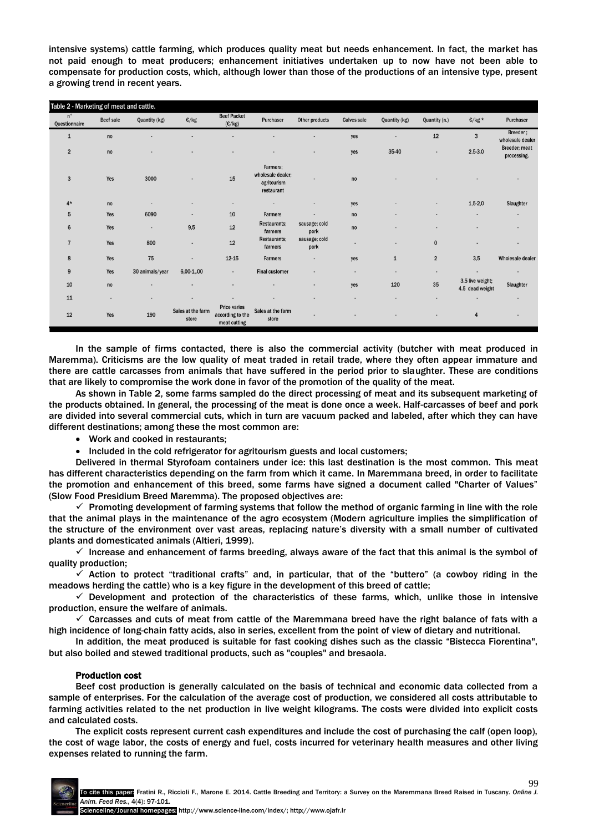intensive systems) cattle farming, which produces quality meat but needs enhancement. In fact, the market has not paid enough to meat producers; enhancement initiatives undertaken up to now have not been able to compensate for production costs, which, although lower than those of the productions of an intensive type, present a growing trend in recent years.

| Table 2 - Marketing of meat and cattle. |                          |                 |                            |                                                         |                                                            |                          |                    |               |                         |                                     |                              |
|-----------------------------------------|--------------------------|-----------------|----------------------------|---------------------------------------------------------|------------------------------------------------------------|--------------------------|--------------------|---------------|-------------------------|-------------------------------------|------------------------------|
| $n^{\circ}$<br>Questionnaire            | Beef sale                | Quantity (kg)   | $\mathbb{C}/\mathsf{kg}$   | <b>Beef Packet</b><br>(C/kg)                            | Purchaser                                                  | Other products           | <b>Calves sale</b> | Quantity (kg) | Quantity (n.)           | $E/kg*$                             | Purchaser                    |
| 1                                       | no                       |                 |                            |                                                         |                                                            |                          | yes                |               | 12                      | $\overline{3}$                      | Breeder;<br>wholesale dealer |
| $\overline{2}$                          | no                       |                 |                            |                                                         |                                                            | $\overline{\phantom{a}}$ | yes                | 35-40         | ٠                       | $2.5 - 3.0$                         | Breeder; meat<br>processing. |
| $\overline{3}$                          | Yes                      | 3000            |                            | 15                                                      | Farmers:<br>wholesale dealer;<br>agritourism<br>restaurant | ٠                        | no                 |               |                         |                                     |                              |
| $4*$                                    | no                       |                 |                            | $\blacksquare$                                          |                                                            |                          | yes                |               | ٠                       | $1,5-2,0$                           | Slaughter                    |
| 5                                       | Yes                      | 6090            | ۰                          | 10                                                      | <b>Farmers</b>                                             |                          | no                 |               |                         | $\overline{\phantom{a}}$            | $\qquad \qquad \blacksquare$ |
| $6\phantom{1}$                          | Yes                      | ٠               | 9,5                        | $12\,$                                                  | <b>Restaurants;</b><br>farmers                             | sausage; cold<br>pork    | no                 |               |                         |                                     | $\blacksquare$               |
| $\overline{7}$                          | Yes                      | 800             | $\overline{\phantom{a}}$   | $12\,$                                                  | <b>Restaurants:</b><br>farmers                             | sausage; cold<br>pork    |                    |               | $\pmb{0}$               | $\blacksquare$                      | $\blacksquare$               |
| 8                                       | Yes                      | 75              | ٠                          | $12 - 15$                                               | Farmers                                                    | ٠                        | yes                | $\mathbf{1}$  | $\overline{\mathbf{2}}$ | 3,5                                 | Wholesale dealer             |
| $9\,$                                   | Yes                      | 30 animals/year | $6,00-1,00$                | $\blacksquare$                                          | <b>Final customer</b>                                      |                          | $\blacksquare$     | ٠             | ٠                       | $\blacksquare$                      | $\blacksquare$               |
| 10                                      | no                       |                 |                            |                                                         |                                                            |                          | yes                | 120           | 35                      | 3.5 live weight;<br>4.5 dead weight | Slaughter                    |
| 11                                      | $\overline{\phantom{a}}$ | ٠               | ٠                          |                                                         |                                                            |                          |                    |               | ٠                       | $\overline{\phantom{a}}$            | $\blacksquare$               |
| 12                                      | Yes                      | 190             | Sales at the farm<br>store | <b>Price varies</b><br>according to the<br>meat cutting | Sales at the farm<br>store                                 | ٠                        |                    |               |                         | $\overline{4}$                      |                              |

In the sample of firms contacted, there is also the commercial activity (butcher with meat produced in Maremma). Criticisms are the low quality of meat traded in retail trade, where they often appear immature and there are cattle carcasses from animals that have suffered in the period prior to slaughter. These are conditions that are likely to compromise the work done in favor of the promotion of the quality of the meat.

As shown in Table 2, some farms sampled do the direct processing of meat and its subsequent marketing of the products obtained. In general, the processing of the meat is done once a week. Half-carcasses of beef and pork are divided into several commercial cuts, which in turn are vacuum packed and labeled, after which they can have different destinations; among these the most common are:

- Work and cooked in restaurants;
- Included in the cold refrigerator for agritourism guests and local customers;

Delivered in thermal Styrofoam containers under ice: this last destination is the most common. This meat has different characteristics depending on the farm from which it came. In Maremmana breed, in order to facilitate the promotion and enhancement of this breed, some farms have signed a document called "Charter of Values" (Slow Food Presidium Breed Maremma). The proposed objectives are:

 $\checkmark$  Promoting development of farming systems that follow the method of organic farming in line with the role that the animal plays in the maintenance of the agro ecosystem (Modern agriculture implies the simplification of the structure of the environment over vast areas, replacing nature's diversity with a small number of cultivated plants and domesticated animals (Altieri, 1999).

 $\checkmark$  Increase and enhancement of farms breeding, always aware of the fact that this animal is the symbol of quality production;

 $\checkmark$  Action to protect "traditional crafts" and, in particular, that of the "buttero" (a cowboy riding in the meadows herding the cattle) who is a key figure in the development of this breed of cattle;

 $\checkmark$  Development and protection of the characteristics of these farms, which, unlike those in intensive production, ensure the welfare of animals.

 $\checkmark$  Carcasses and cuts of meat from cattle of the Maremmana breed have the right balance of fats with a high incidence of long-chain fatty acids, also in series, excellent from the point of view of dietary and nutritional.

In addition, the meat produced is suitable for fast cooking dishes such as the classic "Bistecca Fiorentina", but also boiled and stewed traditional products, such as "couples" and bresaola.

## Production cost

Beef cost production is generally calculated on the basis of technical and economic data collected from a sample of enterprises. For the calculation of the average cost of production, we considered all costs attributable to farming activities related to the net production in live weight kilograms. The costs were divided into explicit costs and calculated costs.

The explicit costs represent current cash expenditures and include the cost of purchasing the calf (open loop), the cost of wage labor, the costs of energy and fuel, costs incurred for veterinary health measures and other living expenses related to running the farm.

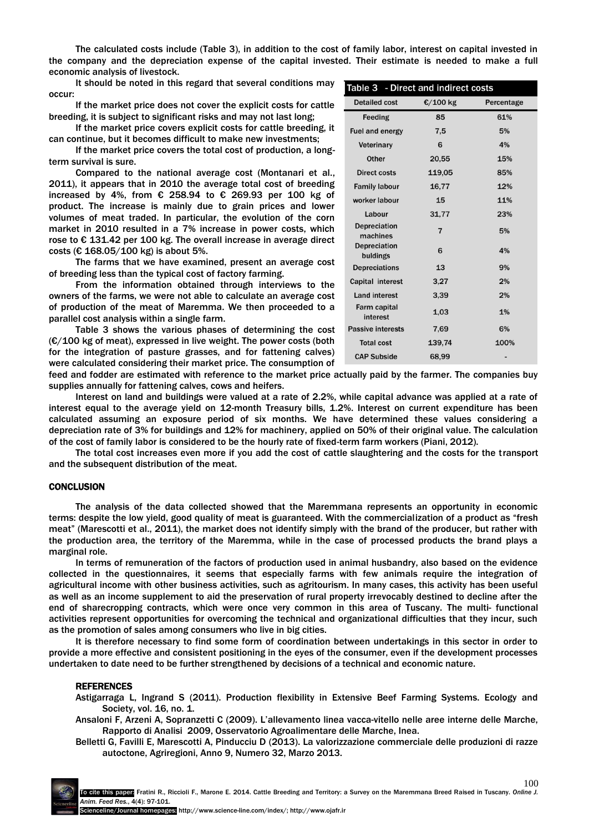The calculated costs include (Table 3), in addition to the cost of family labor, interest on capital invested in the company and the depreciation expense of the capital invested. Their estimate is needed to make a full economic analysis of livestock.

It should be noted in this regard that several conditions may **really 2. Direct and indigent costs** occur:

If the market price does not cover the explicit costs for cattle breeding, it is subject to significant risks and may not last long;

If the market price covers explicit costs for cattle breeding, it can continue, but it becomes difficult to make new investments;

If the market price covers the total cost of production, a longterm survival is sure.

Compared to the national average cost (Montanari et al., 2011), it appears that in 2010 the average total cost of breeding increased by 4%, from € 258.94 to € 269.93 per 100 kg of product. The increase is mainly due to grain prices and lower volumes of meat traded. In particular, the evolution of the corn market in 2010 resulted in a 7% increase in power costs, which rose to € 131.42 per 100 kg. The overall increase in average direct costs (€ 168.05/100 kg) is about 5%.

The farms that we have examined, present an average cost of breeding less than the typical cost of factory farming.

From the information obtained through interviews to the owners of the farms, we were not able to calculate an average cost of production of the meat of Maremma. We then proceeded to a parallel cost analysis within a single farm.

Table 3 shows the various phases of determining the cost  $(E/100 \text{ kg of meat})$ , expressed in live weight. The power costs (both for the integration of pasture grasses, and for fattening calves) were calculated considering their market price. The consumption of

| rable 3 - Direct and mullect costs |            |  |  |  |  |  |  |  |
|------------------------------------|------------|--|--|--|--|--|--|--|
| €/100 kg                           | Percentage |  |  |  |  |  |  |  |
| 85                                 | 61%        |  |  |  |  |  |  |  |
| 7,5                                | 5%         |  |  |  |  |  |  |  |
| 6                                  | 4%         |  |  |  |  |  |  |  |
| 20,55                              | 15%        |  |  |  |  |  |  |  |
| 119.05                             | 85%        |  |  |  |  |  |  |  |
| 16,77                              | 12%        |  |  |  |  |  |  |  |
| 15                                 | 11%        |  |  |  |  |  |  |  |
| 31,77                              | 23%        |  |  |  |  |  |  |  |
| $\overline{7}$                     | 5%         |  |  |  |  |  |  |  |
| 6                                  | 4%         |  |  |  |  |  |  |  |
| 13                                 | 9%         |  |  |  |  |  |  |  |
| 3,27                               | 2%         |  |  |  |  |  |  |  |
| 3,39                               | 2%         |  |  |  |  |  |  |  |
| 1.03                               | 1%         |  |  |  |  |  |  |  |
| 7.69                               | 6%         |  |  |  |  |  |  |  |
| 139,74                             | 100%       |  |  |  |  |  |  |  |
| 68,99                              |            |  |  |  |  |  |  |  |
|                                    |            |  |  |  |  |  |  |  |

feed and fodder are estimated with reference to the market price actually paid by the farmer. The companies buy supplies annually for fattening calves, cows and heifers.

Interest on land and buildings were valued at a rate of 2.2%, while capital advance was applied at a rate of interest equal to the average yield on 12-month Treasury bills, 1.2%. Interest on current expenditure has been calculated assuming an exposure period of six months. We have determined these values considering a depreciation rate of 3% for buildings and 12% for machinery, applied on 50% of their original value. The calculation of the cost of family labor is considered to be the hourly rate of fixed-term farm workers (Piani, 2012).

The total cost increases even more if you add the cost of cattle slaughtering and the costs for the transport and the subsequent distribution of the meat.

#### **CONCLUSION**

The analysis of the data collected showed that the Maremmana represents an opportunity in economic terms: despite the low yield, good quality of meat is guaranteed. With the commercialization of a product as "fresh meat" (Marescotti et al., 2011), the market does not identify simply with the brand of the producer, but rather with the production area, the territory of the Maremma, while in the case of processed products the brand plays a marginal role.

In terms of remuneration of the factors of production used in animal husbandry, also based on the evidence collected in the questionnaires, it seems that especially farms with few animals require the integration of agricultural income with other business activities, such as agritourism. In many cases, this activity has been useful as well as an income supplement to aid the preservation of rural property irrevocably destined to decline after the end of sharecropping contracts, which were once very common in this area of Tuscany. The multi- functional activities represent opportunities for overcoming the technical and organizational difficulties that they incur, such as the promotion of sales among consumers who live in big cities.

It is therefore necessary to find some form of coordination between undertakings in this sector in order to provide a more effective and consistent positioning in the eyes of the consumer, even if the development processes undertaken to date need to be further strengthened by decisions of a technical and economic nature.

#### REFERENCES

Astigarraga L, Ingrand S (2011). Production flexibility in Extensive Beef Farming Systems. Ecology and Society, vol. 16, no. 1.

Ansaloni F, Arzeni A, Sopranzetti C (2009). L'allevamento linea vacca-vitello nelle aree interne delle Marche, Rapporto di Analisi 2009, Osservatorio Agroalimentare delle Marche, Inea.

Belletti G, Favilli E, Marescotti A, Pinducciu D (2013). La valorizzazione commerciale delle produzioni di razze autoctone, Agriregioni, Anno 9, Numero 32, Marzo 2013.